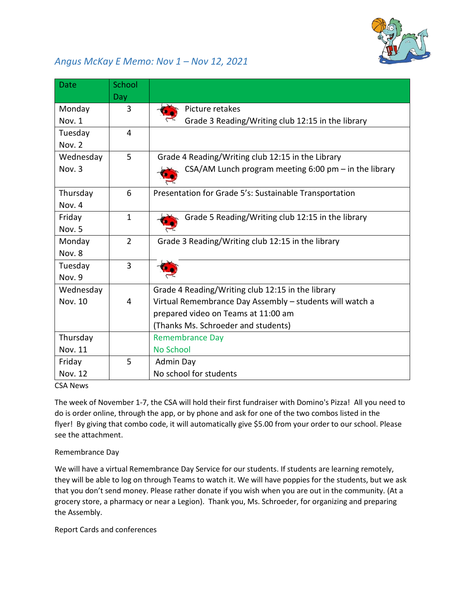

## *Angus McKay E Memo: Nov 1 – Nov 12, 2021*

| <b>Date</b>    | School         |                                                          |
|----------------|----------------|----------------------------------------------------------|
|                | Day            |                                                          |
| Monday         | 3              | Picture retakes                                          |
| Nov. 1         |                | Grade 3 Reading/Writing club 12:15 in the library        |
| Tuesday        | 4              |                                                          |
| Nov. 2         |                |                                                          |
| Wednesday      | 5              | Grade 4 Reading/Writing club 12:15 in the Library        |
| Nov. 3         |                | CSA/AM Lunch program meeting 6:00 pm - in the library    |
| Thursday       | 6              | Presentation for Grade 5's: Sustainable Transportation   |
| Nov. 4         |                |                                                          |
| Friday         | $\mathbf{1}$   | Grade 5 Reading/Writing club 12:15 in the library        |
| Nov. 5         |                |                                                          |
| Monday         | $\overline{2}$ | Grade 3 Reading/Writing club 12:15 in the library        |
| Nov. 8         |                |                                                          |
| Tuesday        | $\overline{3}$ |                                                          |
| Nov. 9         |                |                                                          |
| Wednesday      |                | Grade 4 Reading/Writing club 12:15 in the library        |
| Nov. 10        | 4              | Virtual Remembrance Day Assembly - students will watch a |
|                |                | prepared video on Teams at 11:00 am                      |
|                |                | (Thanks Ms. Schroeder and students)                      |
| Thursday       |                | <b>Remembrance Day</b>                                   |
| Nov. 11        |                | No School                                                |
| Friday         | 5              | Admin Day                                                |
| <b>Nov. 12</b> |                | No school for students                                   |

CSA News

The week of November 1-7, [the C](https://creativecommons.org/licenses/by-nd/3.0/)SA will hold their first fundraiser with Domino's Pizza! All you need to do is order online, through the app, or by phone and ask for one of the two combos listed in the flyer! By giving that combo c[ode,](https://creativecommons.org/licenses/by-nd/3.0/) it will automatically give \$5.00 from your order to our school. Please see the attachment.

## Remembrance Day

We will have a virtual Remembrance Day Service for our students. If students are learning remotely, they will be able to log on through Teams to watch it. We will have poppies for the students, but we ask that you don't send money. Please rather donate if you wish when you are out in the community. (At a grocery store, a pharmacy or near a Legion). Thank you, Ms. Schroeder, for organizing and preparing the Assembly.

Report Cards and conferences